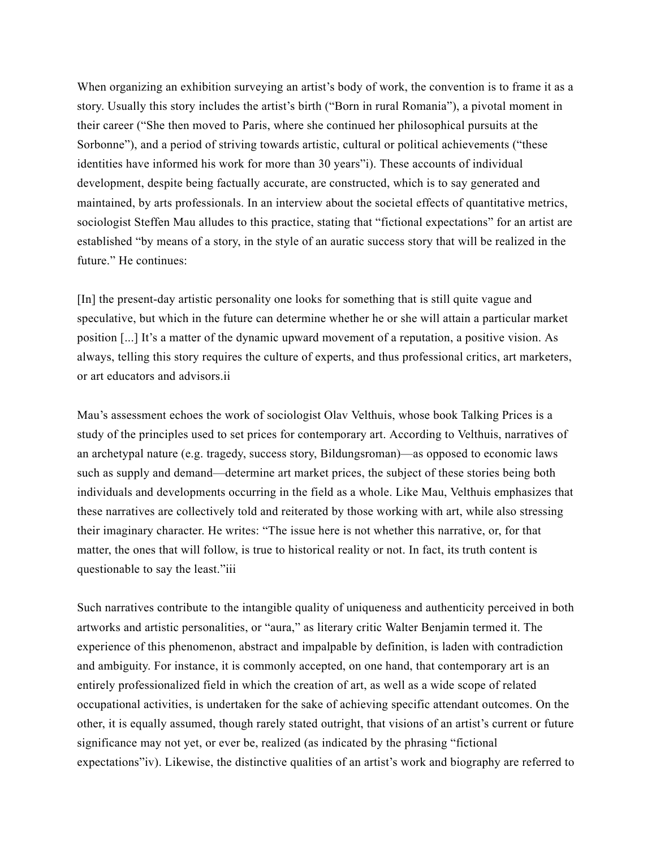When organizing an exhibition surveying an artist's body of work, the convention is to frame it as a story. Usually this story includes the artist's birth ("Born in rural Romania"), a pivotal moment in their career ("She then moved to Paris, where she continued her philosophical pursuits at the Sorbonne"), and a period of striving towards artistic, cultural or political achievements ("these identities have informed his work for more than 30 years"i). These accounts of individual development, despite being factually accurate, are constructed, which is to say generated and maintained, by arts professionals. In an interview about the societal effects of quantitative metrics, sociologist Steffen Mau alludes to this practice, stating that "fictional expectations" for an artist are established "by means of a story, in the style of an auratic success story that will be realized in the future." He continues:

[In] the present-day artistic personality one looks for something that is still quite vague and speculative, but which in the future can determine whether he or she will attain a particular market position [...] It's a matter of the dynamic upward movement of a reputation, a positive vision. As always, telling this story requires the culture of experts, and thus professional critics, art marketers, or art educators and advisors.ii

Mau's assessment echoes the work of sociologist Olav Velthuis, whose book Talking Prices is a study of the principles used to set prices for contemporary art. According to Velthuis, narratives of an archetypal nature (e.g. tragedy, success story, Bildungsroman)—as opposed to economic laws such as supply and demand—determine art market prices, the subject of these stories being both individuals and developments occurring in the field as a whole. Like Mau, Velthuis emphasizes that these narratives are collectively told and reiterated by those working with art, while also stressing their imaginary character. He writes: "The issue here is not whether this narrative, or, for that matter, the ones that will follow, is true to historical reality or not. In fact, its truth content is questionable to say the least."iii

Such narratives contribute to the intangible quality of uniqueness and authenticity perceived in both artworks and artistic personalities, or "aura," as literary critic Walter Benjamin termed it. The experience of this phenomenon, abstract and impalpable by definition, is laden with contradiction and ambiguity. For instance, it is commonly accepted, on one hand, that contemporary art is an entirely professionalized field in which the creation of art, as well as a wide scope of related occupational activities, is undertaken for the sake of achieving specific attendant outcomes. On the other, it is equally assumed, though rarely stated outright, that visions of an artist's current or future significance may not yet, or ever be, realized (as indicated by the phrasing "fictional expectations"iv). Likewise, the distinctive qualities of an artist's work and biography are referred to